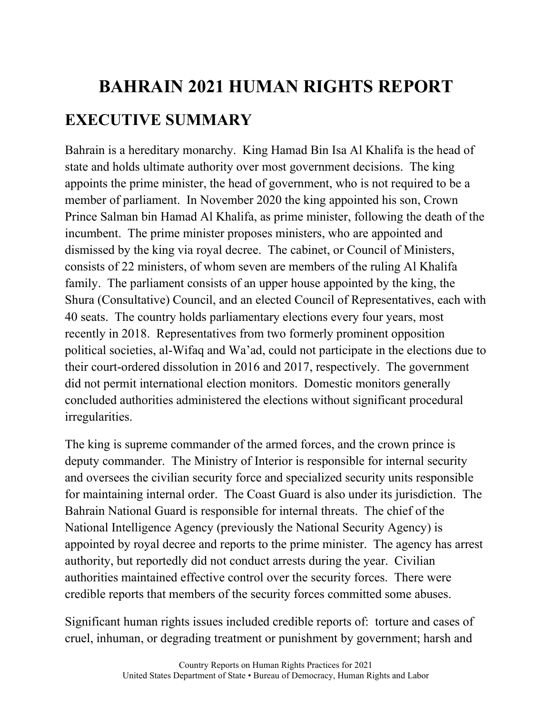## **BAHRAIN 2021 HUMAN RIGHTS REPORT EXECUTIVE SUMMARY**

Bahrain is a hereditary monarchy. King Hamad Bin Isa Al Khalifa is the head of state and holds ultimate authority over most government decisions. The king appoints the prime minister, the head of government, who is not required to be a member of parliament. In November 2020 the king appointed his son, Crown Prince Salman bin Hamad Al Khalifa, as prime minister, following the death of the incumbent. The prime minister proposes ministers, who are appointed and dismissed by the king via royal decree. The cabinet, or Council of Ministers, consists of 22 ministers, of whom seven are members of the ruling Al Khalifa family. The parliament consists of an upper house appointed by the king, the Shura (Consultative) Council, and an elected Council of Representatives, each with 40 seats. The country holds parliamentary elections every four years, most recently in 2018. Representatives from two formerly prominent opposition political societies, al-Wifaq and Wa'ad, could not participate in the elections due to their court-ordered dissolution in 2016 and 2017, respectively. The government did not permit international election monitors. Domestic monitors generally concluded authorities administered the elections without significant procedural irregularities.

The king is supreme commander of the armed forces, and the crown prince is deputy commander. The Ministry of Interior is responsible for internal security and oversees the civilian security force and specialized security units responsible for maintaining internal order. The Coast Guard is also under its jurisdiction. The Bahrain National Guard is responsible for internal threats. The chief of the National Intelligence Agency (previously the National Security Agency) is appointed by royal decree and reports to the prime minister. The agency has arrest authority, but reportedly did not conduct arrests during the year. Civilian authorities maintained effective control over the security forces. There were credible reports that members of the security forces committed some abuses.

Significant human rights issues included credible reports of: torture and cases of cruel, inhuman, or degrading treatment or punishment by government; harsh and